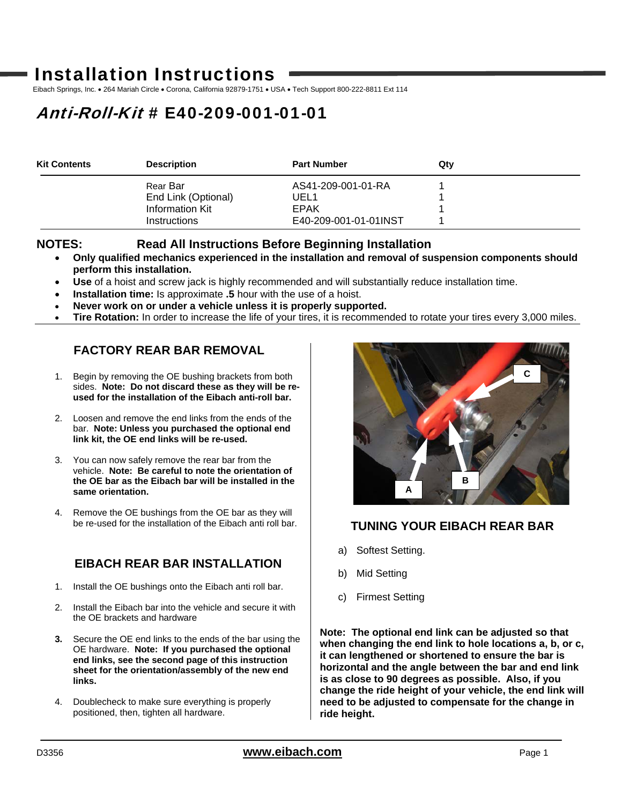# Installation Instructions

Eibach Springs, Inc. . 264 Mariah Circle . Corona, California 92879-1751 . USA . Tech Support 800-222-8811 Ext 114

# Anti-Roll-Kit # E40-209-001-01-01

| <b>Kit Contents</b> | <b>Description</b>     | <b>Part Number</b>    | Qtv |
|---------------------|------------------------|-----------------------|-----|
|                     | Rear Bar               | AS41-209-001-01-RA    |     |
|                     | End Link (Optional)    | UEL1                  |     |
|                     | <b>Information Kit</b> | EPAK                  |     |
|                     | <b>Instructions</b>    | E40-209-001-01-01INST |     |

### **NOTES: Read All Instructions Before Beginning Installation**

- **Only qualified mechanics experienced in the installation and removal of suspension components should perform this installation.**
- **Use** of a hoist and screw jack is highly recommended and will substantially reduce installation time.
- **Installation time:** Is approximate **.5** hour with the use of a hoist.
- **Never work on or under a vehicle unless it is properly supported.**
- **Tire Rotation:** In order to increase the life of your tires, it is recommended to rotate your tires every 3,000 miles.

# **FACTORY REAR BAR REMOVAL**

- 1. Begin by removing the OE bushing brackets from both sides. **Note: Do not discard these as they will be reused for the installation of the Eibach anti-roll bar.**
- 2. Loosen and remove the end links from the ends of the bar. **Note: Unless you purchased the optional end link kit, the OE end links will be re-used.**
- 3. You can now safely remove the rear bar from the vehicle. **Note: Be careful to note the orientation of the OE bar as the Eibach bar will be installed in the same orientation.**
- 4. Remove the OE bushings from the OE bar as they will be re-used for the installation of the Eibach anti roll bar.

# **EIBACH REAR BAR INSTALLATION**

- 1. Install the OE bushings onto the Eibach anti roll bar.
- 2. Install the Eibach bar into the vehicle and secure it with the OE brackets and hardware
- **3.** Secure the OE end links to the ends of the bar using the OE hardware. **Note: If you purchased the optional end links, see the second page of this instruction sheet for the orientation/assembly of the new end links.**
- 4. Doublecheck to make sure everything is properly positioned, then, tighten all hardware.



# **TUNING YOUR EIBACH REAR BAR**

- a) Softest Setting.
- b) Mid Setting
- c) Firmest Setting

**Note: The optional end link can be adjusted so that when changing the end link to hole locations a, b, or c, it can lengthened or shortened to ensure the bar is horizontal and the angle between the bar and end link is as close to 90 degrees as possible. Also, if you change the ride height of your vehicle, the end link will need to be adjusted to compensate for the change in ride height.**